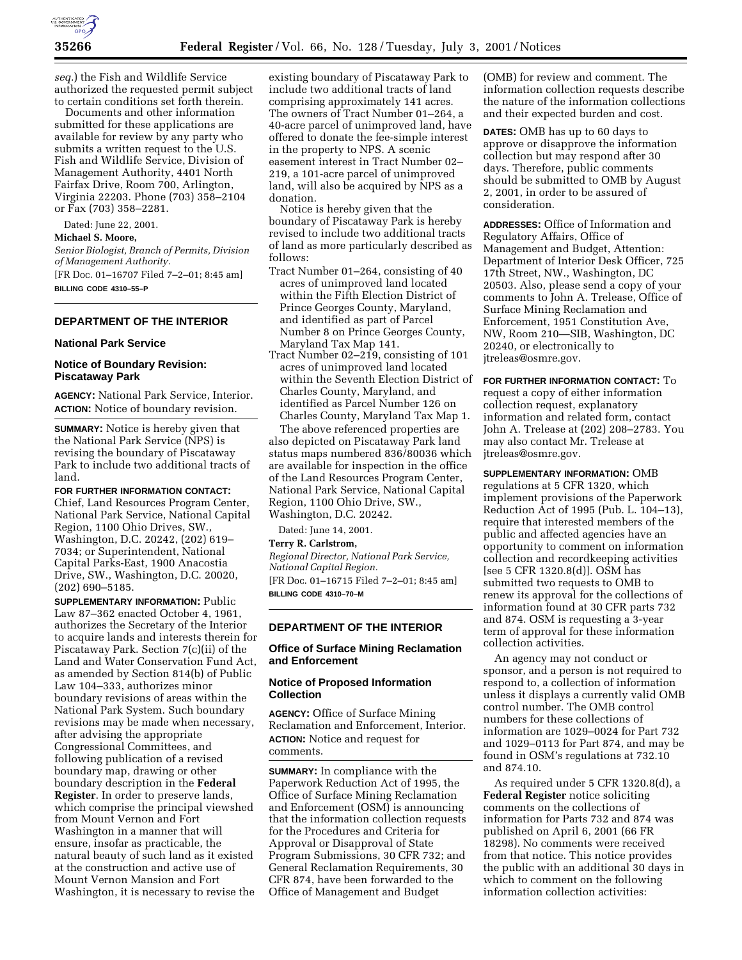

*seq.*) the Fish and Wildlife Service authorized the requested permit subject to certain conditions set forth therein.

Documents and other information submitted for these applications are available for review by any party who submits a written request to the U.S. Fish and Wildlife Service, Division of Management Authority, 4401 North Fairfax Drive, Room 700, Arlington, Virginia 22203. Phone (703) 358–2104 or Fax (703) 358–2281.

Dated: June 22, 2001.

### **Michael S. Moore,**

*Senior Biologist, Branch of Permits, Division of Management Authority.* [FR Doc. 01–16707 Filed 7–2–01; 8:45 am] **BILLING CODE 4310–55–P**

# **DEPARTMENT OF THE INTERIOR**

### **National Park Service**

### **Notice of Boundary Revision: Piscataway Park**

**AGENCY:** National Park Service, Interior. **ACTION:** Notice of boundary revision.

**SUMMARY:** Notice is hereby given that the National Park Service (NPS) is revising the boundary of Piscataway Park to include two additional tracts of land.

**FOR FURTHER INFORMATION CONTACT:** Chief, Land Resources Program Center, National Park Service, National Capital Region, 1100 Ohio Drives, SW., Washington, D.C. 20242, (202) 619– 7034; or Superintendent, National Capital Parks-East, 1900 Anacostia Drive, SW., Washington, D.C. 20020, (202) 690–5185.

**SUPPLEMENTARY INFORMATION:** Public Law 87–362 enacted October 4, 1961, authorizes the Secretary of the Interior to acquire lands and interests therein for Piscataway Park. Section 7(c)(ii) of the Land and Water Conservation Fund Act, as amended by Section 814(b) of Public Law 104–333, authorizes minor boundary revisions of areas within the National Park System. Such boundary revisions may be made when necessary, after advising the appropriate Congressional Committees, and following publication of a revised boundary map, drawing or other boundary description in the **Federal Register**. In order to preserve lands, which comprise the principal viewshed from Mount Vernon and Fort Washington in a manner that will ensure, insofar as practicable, the natural beauty of such land as it existed at the construction and active use of Mount Vernon Mansion and Fort Washington, it is necessary to revise the

existing boundary of Piscataway Park to include two additional tracts of land comprising approximately 141 acres. The owners of Tract Number 01–264, a 40-acre parcel of unimproved land, have offered to donate the fee-simple interest in the property to NPS. A scenic easement interest in Tract Number 02– 219, a 101-acre parcel of unimproved land, will also be acquired by NPS as a donation.

Notice is hereby given that the boundary of Piscataway Park is hereby revised to include two additional tracts of land as more particularly described as follows:

- Tract Number 01–264, consisting of 40 acres of unimproved land located within the Fifth Election District of Prince Georges County, Maryland, and identified as part of Parcel Number 8 on Prince Georges County, Maryland Tax Map 141.
- Tract Number 02–219, consisting of 101 acres of unimproved land located within the Seventh Election District of Charles County, Maryland, and identified as Parcel Number 126 on Charles County, Maryland Tax Map 1.

The above referenced properties are also depicted on Piscataway Park land status maps numbered 836/80036 which are available for inspection in the office of the Land Resources Program Center, National Park Service, National Capital Region, 1100 Ohio Drive, SW., Washington, D.C. 20242.

Dated: June 14, 2001.

**Terry R. Carlstrom,**

*Regional Director, National Park Service, National Capital Region.* [FR Doc. 01–16715 Filed 7–2–01; 8:45 am] **BILLING CODE 4310–70–M**

## **DEPARTMENT OF THE INTERIOR**

### **Office of Surface Mining Reclamation and Enforcement**

### **Notice of Proposed Information Collection**

**AGENCY:** Office of Surface Mining Reclamation and Enforcement, Interior. **ACTION:** Notice and request for comments.

**SUMMARY:** In compliance with the Paperwork Reduction Act of 1995, the Office of Surface Mining Reclamation and Enforcement (OSM) is announcing that the information collection requests for the Procedures and Criteria for Approval or Disapproval of State Program Submissions, 30 CFR 732; and General Reclamation Requirements, 30 CFR 874, have been forwarded to the Office of Management and Budget

(OMB) for review and comment. The information collection requests describe the nature of the information collections and their expected burden and cost.

**DATES:** OMB has up to 60 days to approve or disapprove the information collection but may respond after 30 days. Therefore, public comments should be submitted to OMB by August 2, 2001, in order to be assured of consideration.

**ADDRESSES:** Office of Information and Regulatory Affairs, Office of Management and Budget, Attention: Department of Interior Desk Officer, 725 17th Street, NW., Washington, DC 20503. Also, please send a copy of your comments to John A. Trelease, Office of Surface Mining Reclamation and Enforcement, 1951 Constitution Ave, NW, Room 210—SIB, Washington, DC 20240, or electronically to jtreleas@osmre.gov.

**FOR FURTHER INFORMATION CONTACT:** To request a copy of either information collection request, explanatory information and related form, contact John A. Trelease at (202) 208–2783. You may also contact Mr. Trelease at jtreleas@osmre.gov.

**SUPPLEMENTARY INFORMATION:** OMB regulations at 5 CFR 1320, which

implement provisions of the Paperwork Reduction Act of 1995 (Pub. L. 104–13), require that interested members of the public and affected agencies have an opportunity to comment on information collection and recordkeeping activities [see 5 CFR 1320.8(d)]. OSM has submitted two requests to OMB to renew its approval for the collections of information found at 30 CFR parts 732 and 874. OSM is requesting a 3-year term of approval for these information collection activities.

An agency may not conduct or sponsor, and a person is not required to respond to, a collection of information unless it displays a currently valid OMB control number. The OMB control numbers for these collections of information are 1029–0024 for Part 732 and 1029–0113 for Part 874, and may be found in OSM's regulations at 732.10 and 874.10.

As required under 5 CFR 1320.8(d), a **Federal Register** notice soliciting comments on the collections of information for Parts 732 and 874 was published on April 6, 2001 (66 FR 18298). No comments were received from that notice. This notice provides the public with an additional 30 days in which to comment on the following information collection activities: